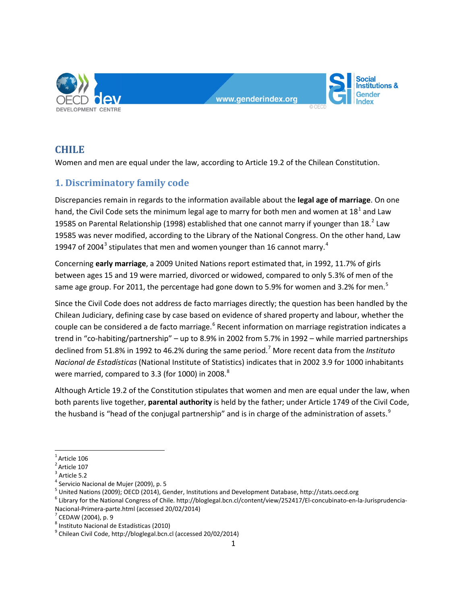

# **CHILE**

Women and men are equal under the law, according to Article 19.2 of the Chilean Constitution.

# **1. Discriminatory family code**

Discrepancies remain in regards to the information available about the **legal age of marriage**. On one hand, the Civil Code sets the minimum legal age to marry for both men and women at  $18^1$  $18^1$  and Law 19585 on Parental Relationship (1998) established that one cannot marry if younger than  $18.<sup>2</sup>$  $18.<sup>2</sup>$  $18.<sup>2</sup>$  Law 19585 was never modified, according to the Library of the National Congress. On the other hand, Law 19947 of 2004<sup>[3](#page-0-2)</sup> stipulates that men and women younger than 16 cannot marry.<sup>[4](#page-0-3)</sup>

Concerning **early marriage**, a 2009 United Nations report estimated that, in 1992, 11.7% of girls between ages 15 and 19 were married, divorced or widowed, compared to only 5.3% of men of the same age group. For 2011, the percentage had gone down to [5](#page-0-4).9% for women and 3.2% for men.<sup>5</sup>

Since the Civil Code does not address de facto marriages directly; the question has been handled by the Chilean Judiciary, defining case by case based on evidence of shared property and labour, whether the couple can be considered a de facto marriage.<sup>[6](#page-0-5)</sup> Recent information on marriage registration indicates a trend in "co-habiting/partnership" – up to 8.9% in 2002 from 5.7% in 1992 – while married partnerships declined from 51.8% in 1992 to 46.2% during the same period.[7](#page-0-6) More recent data from the *Instituto Nacional de Estadísticas* (National Institute of Statistics) indicates that in 2002 3.9 for 1000 inhabitants were married, compared to 3.3 (for 1000) in 200[8](#page-0-7).<sup>8</sup>

Although Article 19.2 of the Constitution stipulates that women and men are equal under the law, when both parents live together, **parental authority** is held by the father; under Article 1749 of the Civil Code, the husband is "head of the conjugal partnership" and is in charge of the administration of assets.<sup>[9](#page-0-8)</sup>

<span id="page-0-0"></span> $\frac{1}{1}$  $1$ Article 106

<sup>&</sup>lt;sup>2</sup> Article 107

<span id="page-0-2"></span><span id="page-0-1"></span> $^3$  Article 5.2<br> $^4$  Servicio Nacional de Mujer (2009), p. 5

<span id="page-0-5"></span><span id="page-0-4"></span><span id="page-0-3"></span><sup>&</sup>lt;sup>5</sup> United Nations (2009); OECD (2014), Gender, Institutions and Development Database, http://stats.oecd.org<br><sup>6</sup> Library for the National Congress of Chile. http://bloglegal.bcn.cl/content/view/252417/El-concubinato-en-la-[Nacional-Primera-parte.html](http://bloglegal.bcn.cl/content/view/252417/El-concubinato-en-la-Jurisprudencia-Nacional-Primera-parte.html) (accessed 20/02/2014)<br>
<sup>7</sup> CEDAW (2004), p. 9<br>
<sup>8</sup> Instituto Nacional de Estadísticas (2010)<br>
<sup>9</sup> Chilean Civil Code[, http://bloglegal.bcn.cl](http://bloglegal.bcn.cl/) (accessed 20/02/2014)

<span id="page-0-6"></span>

<span id="page-0-7"></span>

<span id="page-0-8"></span>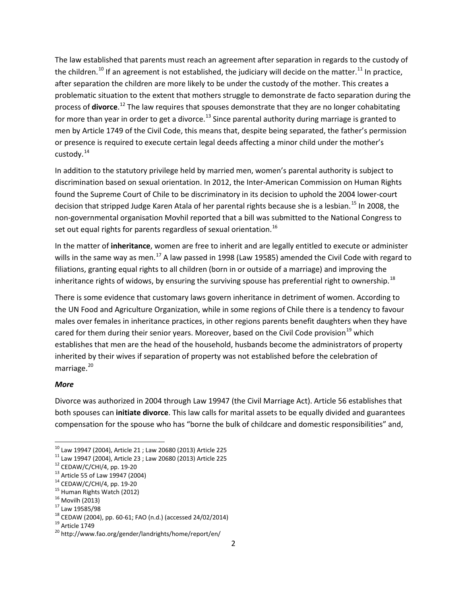The law established that parents must reach an agreement after separation in regards to the custody of the children.<sup>[10](#page-1-0)</sup> If an agreement is not established, the judiciary will decide on the matter.<sup>[11](#page-1-1)</sup> In practice, after separation the children are more likely to be under the custody of the mother. This creates a problematic situation to the extent that mothers struggle to demonstrate de facto separation during the process of **divorce**. [12](#page-1-2) The law requires that spouses demonstrate that they are no longer cohabitating for more than year in order to get a divorce.<sup>[13](#page-1-3)</sup> Since parental authority during marriage is granted to men by Article 1749 of the Civil Code, this means that, despite being separated, the father's permission or presence is required to execute certain legal deeds affecting a minor child under the mother's custody.<sup>[14](#page-1-4)</sup>

In addition to the statutory privilege held by married men, women's parental authority is subject to discrimination based on sexual orientation. In 2012, the Inter-American Commission on Human Rights found the Supreme Court of Chile to be discriminatory in its decision to uphold the 2004 lower-court decision that stripped Judge Karen Atala of her parental rights because she is a lesbian.<sup>[15](#page-1-5)</sup> In 2008, the non-governmental organisation Movhil reported that a bill was submitted to the National Congress to set out equal rights for parents regardless of sexual orientation.<sup>[16](#page-1-6)</sup>

In the matter of **inheritance**, women are free to inherit and are legally entitled to execute or administer wills in the same way as men.<sup>[17](#page-1-7)</sup> A law passed in 1998 (Law 19585) amended the Civil Code with regard to filiations, granting equal rights to all children (born in or outside of a marriage) and improving the inheritance rights of widows, by ensuring the surviving spouse has preferential right to ownership.<sup>[18](#page-1-8)</sup>

There is some evidence that customary laws govern inheritance in detriment of women. According to the UN Food and Agriculture Organization, while in some regions of Chile there is a tendency to favour males over females in inheritance practices, in other regions parents benefit daughters when they have cared for them during their senior years. Moreover, based on the Civil Code provision<sup>[19](#page-1-9)</sup> which establishes that men are the head of the household, husbands become the administrators of property inherited by their wives if separation of property was not established before the celebration of marriage.<sup>[20](#page-1-10)</sup>

#### *More*

Divorce was authorized in 2004 through Law 19947 (the Civil Marriage Act). Article 56 establishes that both spouses can **initiate divorce**. This law calls for marital assets to be equally divided and guarantees compensation for the spouse who has "borne the bulk of childcare and domestic responsibilities" and,

<span id="page-1-0"></span>

<span id="page-1-2"></span><span id="page-1-1"></span>

<span id="page-1-3"></span>

<span id="page-1-4"></span>

<span id="page-1-6"></span><span id="page-1-5"></span>

<span id="page-1-8"></span><span id="page-1-7"></span>

<sup>&</sup>lt;sup>10</sup> Law 19947 (2004), Article 21 ; Law 20680 (2013) Article 225<br><sup>11</sup> Law 19947 (2004), Article 23 ; Law 20680 (2013) Article 225<br><sup>12</sup> CEDAW/C/CHI/4, pp. 19-20<br><sup>13</sup> Article 55 of Law 19947 (2004)<br><sup>14</sup> CEDAW/C/CHI/4, pp. 19

<span id="page-1-9"></span>

<span id="page-1-10"></span>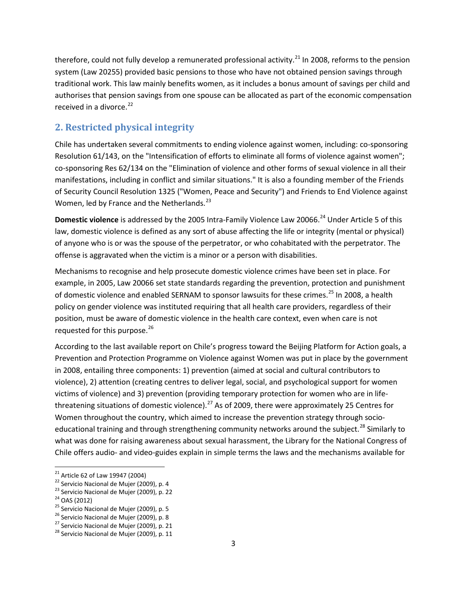therefore, could not fully develop a remunerated professional activity.<sup>[21](#page-2-0)</sup> In 2008, reforms to the pension system (Law 20255) provided basic pensions to those who have not obtained pension savings through traditional work. This law mainly benefits women, as it includes a bonus amount of savings per child and authorises that pension savings from one spouse can be allocated as part of the economic compensation received in a divorce. $^{22}$  $^{22}$  $^{22}$ 

### **2. Restricted physical integrity**

Chile has undertaken several commitments to ending violence against women, including: co-sponsoring Resolution 61/143, on the "Intensification of efforts to eliminate all forms of violence against women"; co-sponsoring Res 62/134 on the "Elimination of violence and other forms of sexual violence in all their manifestations, including in conflict and similar situations." It is also a founding member of the Friends of Security Council Resolution 1325 ("Women, Peace and Security") and Friends to End Violence against Women, led by France and the Netherlands.<sup>[23](#page-2-2)</sup>

**Domestic violence** is addressed by the 2005 Intra-Family Violence Law 20066.<sup>[24](#page-2-3)</sup> Under Article 5 of this law, domestic violence is defined as any sort of abuse affecting the life or integrity (mental or physical) of anyone who is or was the spouse of the perpetrator, or who cohabitated with the perpetrator. The offense is aggravated when the victim is a minor or a person with disabilities.

Mechanisms to recognise and help prosecute domestic violence crimes have been set in place. For example, in 2005, Law 20066 set state standards regarding the prevention, protection and punishment of domestic violence and enabled SERNAM to sponsor lawsuits for these crimes.<sup>[25](#page-2-4)</sup> In 2008, a health policy on gender violence was instituted requiring that all health care providers, regardless of their position, must be aware of domestic violence in the health care context, even when care is not requested for this purpose. $^{26}$  $^{26}$  $^{26}$ 

According to the last available report on Chile's progress toward the Beijing Platform for Action goals, a Prevention and Protection Programme on Violence against Women was put in place by the government in 2008, entailing three components: 1) prevention (aimed at social and cultural contributors to violence), 2) attention (creating centres to deliver legal, social, and psychological support for women victims of violence) and 3) prevention (providing temporary protection for women who are in life-threatening situations of domestic violence).<sup>[27](#page-2-6)</sup> As of 2009, there were approximately 25 Centres for Women throughout the country, which aimed to increase the prevention strategy through socio-educational training and through strengthening community networks around the subject.<sup>[28](#page-2-7)</sup> Similarly to what was done for raising awareness about sexual harassment, the Library for the National Congress of Chile offers audio- and video-guides explain in simple terms the laws and the mechanisms available for

<span id="page-2-2"></span>

<span id="page-2-3"></span>

<span id="page-2-4"></span>

<span id="page-2-5"></span>

<span id="page-2-7"></span><span id="page-2-6"></span>

<span id="page-2-1"></span><span id="page-2-0"></span><sup>&</sup>lt;sup>21</sup> Article 62 of Law 19947 (2004)<br><sup>22</sup> Servicio Nacional de Mujer (2009), p. 4<br><sup>23</sup> Servicio Nacional de Mujer (2009), p. 22<br><sup>24</sup> OAS (2012)<br><sup>25</sup> Servicio Nacional de Mujer (2009), p. 5<br><sup>25</sup> Servicio Nacional de Mujer (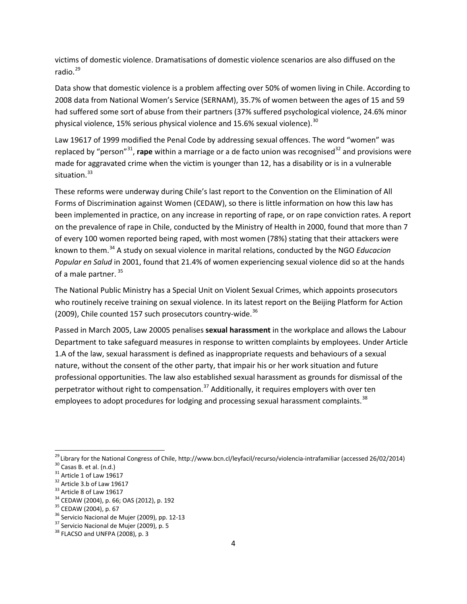victims of domestic violence. Dramatisations of domestic violence scenarios are also diffused on the radio. $^{29}$  $^{29}$  $^{29}$ 

Data show that domestic violence is a problem affecting over 50% of women living in Chile. According to 2008 data from National Women's Service (SERNAM), 35.7% of women between the ages of 15 and 59 had suffered some sort of abuse from their partners (37% suffered psychological violence, 24.6% minor physical violence, 15% serious physical violence and 15.6% sexual violence). $30$ 

Law 19617 of 1999 modified the Penal Code by addressing sexual offences. The word "women" was replaced by "person"<sup>[31](#page-3-2)</sup>, rape within a marriage or a de facto union was recognised<sup>[32](#page-3-3)</sup> and provisions were made for aggravated crime when the victim is younger than 12, has a disability or is in a vulnerable situation.<sup>[33](#page-3-4)</sup>

These reforms were underway during Chile's last report to the Convention on the Elimination of All Forms of Discrimination against Women (CEDAW), so there is little information on how this law has been implemented in practice, on any increase in reporting of rape, or on rape conviction rates. A report on the prevalence of rape in Chile, conducted by the Ministry of Health in 2000, found that more than 7 of every 100 women reported being raped, with most women (78%) stating that their attackers were known to them.[34](#page-3-5) A study on sexual violence in marital relations, conducted by the NGO *Educacion Popular en Salud* in 2001, found that 21.4% of women experiencing sexual violence did so at the hands of a male partner.<sup>[35](#page-3-6)</sup>

The National Public Ministry has a Special Unit on Violent Sexual Crimes, which appoints prosecutors who routinely receive training on sexual violence. In its latest report on the Beijing Platform for Action (2009), Chile counted 157 such prosecutors country-wide.<sup>[36](#page-3-7)</sup>

Passed in March 2005, Law 20005 penalises **sexual harassment** in the workplace and allows the Labour Department to take safeguard measures in response to written complaints by employees. Under Article 1.A of the law, sexual harassment is defined as inappropriate requests and behaviours of a sexual nature, without the consent of the other party, that impair his or her work situation and future professional opportunities. The law also established sexual harassment as grounds for dismissal of the perpetrator without right to compensation.<sup>[37](#page-3-8)</sup> Additionally, it requires employers with over ten employees to adopt procedures for lodging and processing sexual harassment complaints.<sup>[38](#page-3-9)</sup>

<span id="page-3-0"></span><sup>&</sup>lt;sup>29</sup> Library for the National Congress of Chile, http://www.bcn.cl/leyfacil/recurso/violencia-intrafamiliar (accessed 26/02/2014)<br><sup>30</sup> Casas B. et al. (n.d.)<br><sup>31</sup> Article 1 of Law 19617<br><sup>32</sup> Article 3.b of Law 19617<br><sup>32</sup>

<span id="page-3-2"></span><span id="page-3-1"></span>

<span id="page-3-3"></span>

<span id="page-3-4"></span>

<span id="page-3-5"></span>

<span id="page-3-6"></span>

<span id="page-3-7"></span>

<span id="page-3-8"></span>

<span id="page-3-9"></span>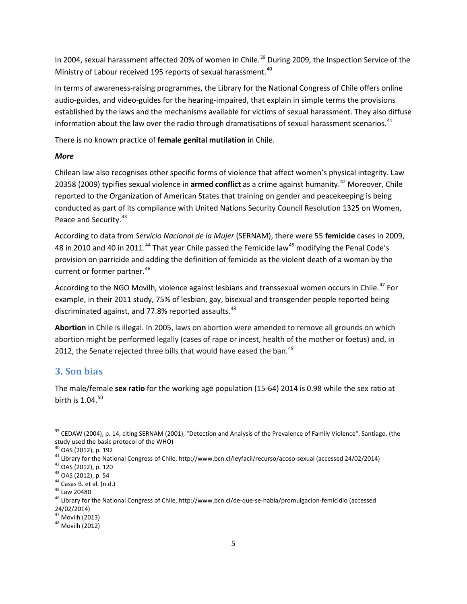In 2004, sexual harassment affected 20% of women in Chile.<sup>[39](#page-4-0)</sup> During 2009, the Inspection Service of the Ministry of Labour received 195 reports of sexual harassment.<sup>[40](#page-4-1)</sup>

In terms of awareness-raising programmes, the Library for the National Congress of Chile offers online audio-guides, and video-guides for the hearing-impaired, that explain in simple terms the provisions established by the laws and the mechanisms available for victims of sexual harassment. They also diffuse information about the law over the radio through dramatisations of sexual harassment scenarios.<sup>[41](#page-4-2)</sup>

There is no known practice of **female genital mutilation** in Chile.

#### *More*

Chilean law also recognises other specific forms of violence that affect women's physical integrity. Law 20358 (2009) typifies sexual violence in armed conflict as a crime against humanity.<sup>[42](#page-4-3)</sup> Moreover, Chile reported to the Organization of American States that training on gender and peacekeeping is being conducted as part of its compliance with United Nations Security Council Resolution 1325 on Women, Peace and Security.<sup>[43](#page-4-4)</sup>

According to data from *Servicio Nacional de la Mujer* (SERNAM), there were 55 **femicide** cases in 2009, 48 in 2010 and 40 in 2011.<sup>[44](#page-4-5)</sup> That year Chile passed the Femicide law<sup>[45](#page-4-6)</sup> modifying the Penal Code's provision on parricide and adding the definition of femicide as the violent death of a woman by the current or former partner.<sup>[46](#page-4-7)</sup>

According to the NGO Movilh, violence against lesbians and transsexual women occurs in Chile.<sup>[47](#page-4-8)</sup> For example, in their 2011 study, 75% of lesbian, gay, bisexual and transgender people reported being discriminated against, and 77.8% reported assaults.<sup>[48](#page-4-9)</sup>

**Abortion** in Chile is illegal. In 2005, laws on abortion were amended to remove all grounds on which abortion might be performed legally (cases of rape or incest, health of the mother or foetus) and, in 2012, the Senate rejected three bills that would have eased the ban.<sup>[49](#page-4-10)</sup>

### **3. Son bias**

The male/female **sex ratio** for the working age population (15-64) 2014 is 0.98 while the sex ratio at birth is  $1.04$ .  $50$ 

<span id="page-4-0"></span><sup>&</sup>lt;sup>39</sup> CEDAW (2004), p. 14, citing SERNAM (2001), "Detection and Analysis of the Prevalence of Family Violence", Santiago, (the study used the basic protocol of the WHO)<br><sup>40</sup> OAS (2012), p. 192

<span id="page-4-3"></span><span id="page-4-2"></span><span id="page-4-1"></span><sup>&</sup>lt;sup>41</sup> Library for the National Congress of Chile[, http://www.bcn.cl/leyfacil/recurso/acoso-sexual](http://www.bcn.cl/leyfacil/recurso/acoso-sexual) (accessed 24/02/2014)<br><sup>42</sup> OAS (2012), p. 120<br><sup>43</sup> OAS (2012), p. 54<br><sup>45</sup> Law 20480<br><sup>45</sup> Library for the National Congress o

<span id="page-4-4"></span>

<span id="page-4-5"></span>

<span id="page-4-6"></span>

<span id="page-4-7"></span><sup>24/02/2014)</sup>

<span id="page-4-9"></span><span id="page-4-8"></span> $^{47}$  Movilh (2013)<br> $^{48}$  Movilh (2012)

<span id="page-4-10"></span>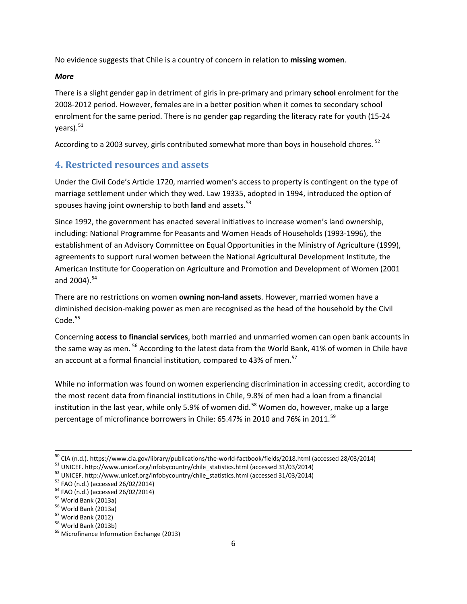No evidence suggests that Chile is a country of concern in relation to **missing women**.

### *More*

There is a slight gender gap in detriment of girls in pre-primary and primary **school** enrolment for the 2008-2012 period. However, females are in a better position when it comes to secondary school enrolment for the same period. There is no gender gap regarding the literacy rate for youth (15-24  $vears$ ).  $51$ 

According to a 2003 survey, girls contributed somewhat more than boys in household chores. <sup>[52](#page-5-1)</sup>

## **4. Restricted resources and assets**

Under the Civil Code's Article 1720, married women's access to property is contingent on the type of marriage settlement under which they wed. Law 19335, adopted in 1994, introduced the option of spouses having joint ownership to both **land** and assets.<sup>[53](#page-5-2)</sup>

Since 1992, the government has enacted several initiatives to increase women's land ownership, including: National Programme for Peasants and Women Heads of Households (1993-1996), the establishment of an Advisory Committee on Equal Opportunities in the Ministry of Agriculture (1999), agreements to support rural women between the National Agricultural Development Institute, the American Institute for Cooperation on Agriculture and Promotion and Development of Women (2001 and  $2004$ ).  $54$ 

There are no restrictions on women **owning non-land assets**. However, married women have a diminished decision-making power as men are recognised as the head of the household by the Civil Code. [55](#page-5-4)

Concerning **access to financial services**, both married and unmarried women can open bank accounts in the same way as men.<sup>[56](#page-5-5)</sup> According to the latest data from the World Bank, 41% of women in Chile have an account at a formal financial institution, compared to 43% of men.<sup>[57](#page-5-6)</sup>

While no information was found on women experiencing discrimination in accessing credit, according to the most recent data from financial institutions in Chile, 9.8% of men had a loan from a financial institution in the last year, while only 5.9% of women did.<sup>[58](#page-5-7)</sup> Women do, however, make up a large percentage of microfinance borrowers in Chile: 65.47% in 2010 and 76% in 2011.<sup>[59](#page-5-8)</sup>

<sup>&</sup>lt;sup>50</sup> CIA (n.d.)[. https://www.cia.gov/library/publications/the-world-factbook/fields/2018.html](https://www.cia.gov/library/publications/the-world-factbook/fields/2018.html) (accessed 28/03/2014)<br><sup>51</sup> UNICEF[. http://www.unicef.org/infobycountry/chile\\_statistics.html](http://www.unicef.org/infobycountry/chile_statistics.html) (accessed 31/03/2014)<br><sup>52</sup> UNICEF.

<span id="page-5-1"></span><span id="page-5-0"></span>

<span id="page-5-2"></span>

<span id="page-5-3"></span>

<span id="page-5-4"></span>

<span id="page-5-5"></span>

<span id="page-5-6"></span>

<span id="page-5-7"></span>

<span id="page-5-8"></span>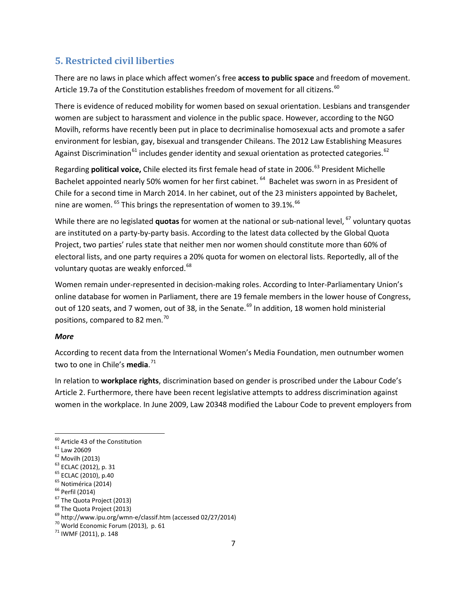## **5. Restricted civil liberties**

There are no laws in place which affect women's free **access to public space** and freedom of movement. Article 19.7a of the Constitution establishes freedom of movement for all citizens.<sup>[60](#page-6-0)</sup>

There is evidence of reduced mobility for women based on sexual orientation. Lesbians and transgender women are subject to harassment and violence in the public space. However, according to the NGO Movilh, reforms have recently been put in place to decriminalise homosexual acts and promote a safer environment for lesbian, gay, bisexual and transgender Chileans. The 2012 Law Establishing Measures Against Discrimination<sup>[61](#page-6-1)</sup> includes gender identity and sexual orientation as protected categories.<sup>[62](#page-6-2)</sup>

Regarding **political voice,** Chile elected its first female head of state in 2006.<sup>[63](#page-6-3)</sup> President Michelle Bachelet appointed nearly 50% women for her first cabinet. <sup>[64](#page-6-4)</sup> Bachelet was sworn in as President of Chile for a second time in March 2014. In her cabinet, out of the 23 ministers appointed by Bachelet, nine are women. <sup>[65](#page-6-5)</sup> This brings the representation of women to 39.1%. <sup>[66](#page-6-6)</sup>

While there are no legislated **quotas** for women at the national or sub-national level, <sup>[67](#page-6-7)</sup> voluntary quotas are instituted on a party-by-party basis. According to the latest data collected by the Global Quota Project, two parties' rules state that neither men nor women should constitute more than 60% of electoral lists, and one party requires a 20% quota for women on electoral lists. Reportedly, all of the voluntary quotas are weakly enforced.<sup>[68](#page-6-8)</sup>

Women remain under-represented in decision-making roles. According to Inter-Parliamentary Union's online database for women in Parliament, there are 19 female members in the lower house of Congress, out of 120 seats, and 7 women, out of 38, in the Senate.<sup>[69](#page-6-9)</sup> In addition, 18 women hold ministerial positions, compared to 82 men.[70](#page-6-10)

#### *More*

According to recent data from the International Women's Media Foundation, men outnumber women two to one in Chile's **media**. [71](#page-6-11)

In relation to **workplace rights**, discrimination based on gender is proscribed under the Labour Code's Article 2. Furthermore, there have been recent legislative attempts to address discrimination against women in the workplace. In June 2009, Law 20348 modified the Labour Code to prevent employers from

<span id="page-6-1"></span><span id="page-6-0"></span>

<span id="page-6-2"></span>

<span id="page-6-3"></span>

<span id="page-6-4"></span>

<span id="page-6-5"></span>

<span id="page-6-6"></span>

<span id="page-6-7"></span>

<span id="page-6-9"></span><span id="page-6-8"></span>

<sup>&</sup>lt;sup>60</sup><br>
<sup>61</sup> Law 20609<br>
<sup>62</sup> Law 20609<br>
<sup>62</sup> Movilh (2013)<br>
<sup>63</sup> ECLAC (2012), p. 31<br>
<sup>65</sup> ECLAC (2010), p.40<br>
<sup>65</sup> Perfil (2014)<br>
<sup>66</sup> Perfil (2014)<br>
<sup>67</sup> The Quota Project (2013)<br>
<sup>68</sup> The Quota Project (2013)<br>
<sup>69</sup> http:

<span id="page-6-10"></span>

<span id="page-6-11"></span>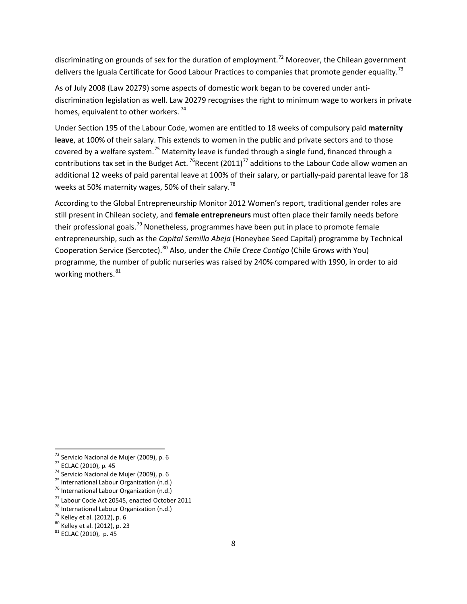discriminating on grounds of sex for the duration of employment.<sup>[72](#page-7-0)</sup> Moreover, the Chilean government delivers the Iguala Certificate for Good Labour Practices to companies that promote gender equality.<sup>[73](#page-7-1)</sup>

As of July 2008 (Law 20279) some aspects of domestic work began to be covered under antidiscrimination legislation as well. Law 20279 recognises the right to minimum wage to workers in private homes, equivalent to other workers.<sup>[74](#page-7-2)</sup>

Under Section 195 of the Labour Code, women are entitled to 18 weeks of compulsory paid **maternity leave**, at 100% of their salary. This extends to women in the public and private sectors and to those covered by a welfare system.<sup>[75](#page-7-3)</sup> Maternity leave is funded through a single fund, financed through a contributions tax set in the Budget Act.  $^{76}$ Recent (2011)<sup>[77](#page-7-5)</sup> additions to the Labour Code allow women an additional 12 weeks of paid parental leave at 100% of their salary, or partially-paid parental leave for 18 weeks at 50% maternity wages, 50% of their salary.<sup>[78](#page-7-6)</sup>

According to the Global Entrepreneurship Monitor 2012 Women's report, traditional gender roles are still present in Chilean society, and **female entrepreneurs** must often place their family needs before their professional goals.<sup>[79](#page-7-7)</sup> Nonetheless, programmes have been put in place to promote female entrepreneurship, such as the *Capital Semilla Abeja* (Honeybee Seed Capital) programme by Technical Cooperation Service (Sercotec).[80](#page-7-8) Also, under the *Chile Crece Contigo* (Chile Grows with You) programme, the number of public nurseries was raised by 240% compared with 1990, in order to aid working mothers.<sup>[81](#page-7-9)</sup>

<span id="page-7-1"></span><span id="page-7-0"></span><sup>&</sup>lt;sup>72</sup> Servicio Nacional de Mujer (2009), p. 6<br><sup>73</sup> ECLAC (2010), p. 45<br><sup>74</sup> Servicio Nacional de Mujer (2009), p. 6<br><sup>75</sup> International Labour Organization (n.d.)<br><sup>76</sup> International Labour Organization (n.d.)

<span id="page-7-2"></span>

<span id="page-7-3"></span>

<span id="page-7-4"></span>

<span id="page-7-6"></span><span id="page-7-5"></span><sup>&</sup>lt;sup>77</sup> Labour Code Act 20545, enacted October 2011<br><sup>78</sup> International Labour Organization (n.d.)<br><sup>79</sup> Kelley et al. (2012), p. 6<br><sup>80</sup> Kelley et al. (2012), p. 23<br><sup>81</sup> ECLAC (2010), p. 45

<span id="page-7-7"></span>

<span id="page-7-8"></span>

<span id="page-7-9"></span>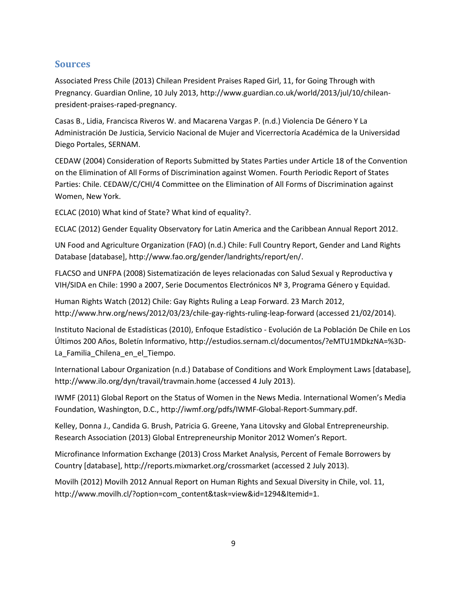# **Sources**

Associated Press Chile (2013) Chilean President Praises Raped Girl, 11, for Going Through with Pregnancy. Guardian Online, 10 July 2013, [http://www.guardian.co.uk/world/2013/jul/10/chilean](http://www.guardian.co.uk/world/2013/jul/10/chilean-president-praises-raped-pregnancy)[president-praises-raped-pregnancy.](http://www.guardian.co.uk/world/2013/jul/10/chilean-president-praises-raped-pregnancy)

Casas B., Lidia, Francisca Riveros W. and Macarena Vargas P. (n.d.) Violencia De Género Y La Administración De Justicia, Servicio Nacional de Mujer and Vicerrectoría Académica de la Universidad Diego Portales, SERNAM.

CEDAW (2004) Consideration of Reports Submitted by States Parties under Article 18 of the Convention on the Elimination of All Forms of Discrimination against Women. Fourth Periodic Report of States Parties: Chile. CEDAW/C/CHI/4 Committee on the Elimination of All Forms of Discrimination against Women, New York.

ECLAC (2010) What kind of State? What kind of equality?.

ECLAC (2012) Gender Equality Observatory for Latin America and the Caribbean Annual Report 2012.

UN Food and Agriculture Organization (FAO) (n.d.) Chile: Full Country Report, Gender and Land Rights Database [database], http:/[/www.fao.org/gender/landrights/report/en/.](http://www.fao.org/gender/landrights/report/en/)

FLACSO and UNFPA (2008) Sistematización de leyes relacionadas con Salud Sexual y Reproductiva y VIH/SIDA en Chile: 1990 a 2007, Serie Documentos Electrónicos Nº 3, Programa Género y Equidad.

Human Rights Watch (2012) Chile: Gay Rights Ruling a Leap Forward. 23 March 2012, <http://www.hrw.org/news/2012/03/23/chile-gay-rights-ruling-leap-forward> (accessed 21/02/2014).

Instituto Nacional de Estadísticas (2010), Enfoque Estadístico - Evolución de La Población De Chile en Los Últimos 200 Años, Boletín Informativo, [http://estudios.sernam.cl/documentos/?eMTU1MDkzNA=%3D-](http://estudios.sernam.cl/documentos/?eMTU1MDkzNA=%3D-La_Familia_Chilena_en_el_Tiempo)[La\\_Familia\\_Chilena\\_en\\_el\\_Tiempo.](http://estudios.sernam.cl/documentos/?eMTU1MDkzNA=%3D-La_Familia_Chilena_en_el_Tiempo)

International Labour Organization (n.d.) Database of Conditions and Work Employment Laws [database], http:/[/www.ilo.org/dyn/travail/travmain.home](http://www.ilo.org/dyn/travail/travmain.home) (accessed 4 July 2013).

IWMF (2011) Global Report on the Status of Women in the News Media. International Women's Media Foundation, Washington, D.C., [http://iwmf.org/pdfs/IWMF-Global-Report-Summary.pdf.](http://iwmf.org/pdfs/IWMF-Global-Report-Summary.pdf)

Kelley, Donna J., Candida G. Brush, Patricia G. Greene, Yana Litovsky and Global Entrepreneurship. Research Association (2013) Global Entrepreneurship Monitor 2012 Women's Report.

Microfinance Information Exchange (2013) Cross Market Analysis, Percent of Female Borrowers by Country [database], <http://reports.mixmarket.org/crossmarket> (accessed 2 July 2013).

Movilh (2012) Movilh 2012 Annual Report on Human Rights and Sexual Diversity in Chile, vol. 11, [http://www.movilh.cl/?option=com\\_content&task=view&id=1294&Itemid=1.](http://www.movilh.cl/?option=com_content&task=view&id=1294&Itemid=1)